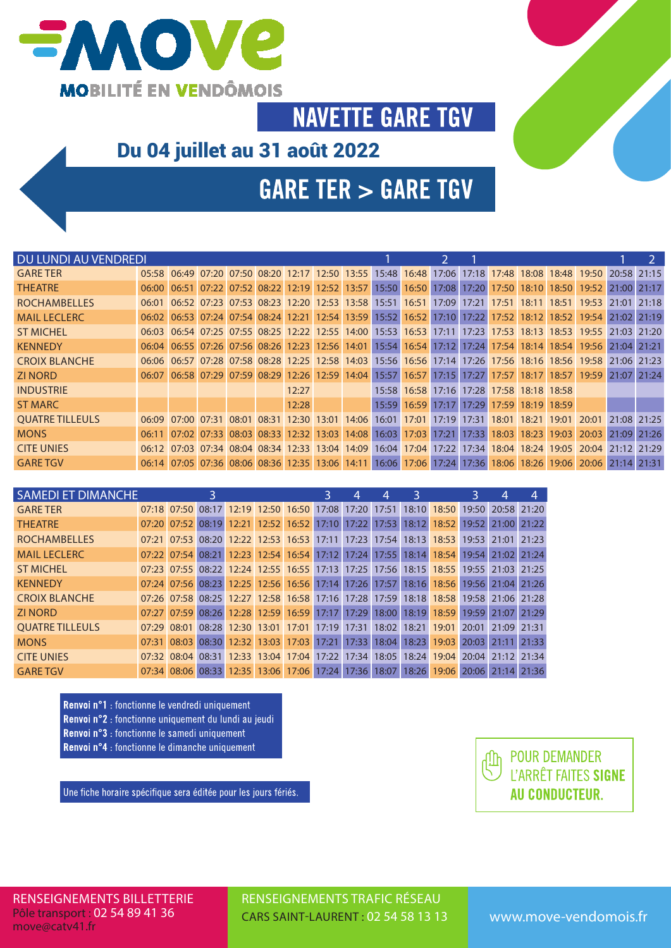

**NAVETTE GARE TGV** 

### Du 04 juillet au 31 août 2022

# **GARE TER > GARE TGV**

| DU LUNDI AU VENDREDI   |       |                                                                         |       |             |       |                               |       |       |       |                   |       |                   |                               |                                     |             | $\mathcal{P}$ |
|------------------------|-------|-------------------------------------------------------------------------|-------|-------------|-------|-------------------------------|-------|-------|-------|-------------------|-------|-------------------|-------------------------------|-------------------------------------|-------------|---------------|
| <b>GARE TER</b>        |       | 05:58 06:49 07:20 07:50 08:20 12:17 12:50 13:55 15:48 16:48             |       |             |       |                               |       |       | 17:06 |                   |       |                   | 17:18 17:48 18:08 18:48 19:50 |                                     | 20:58       | 21:15         |
| <b>THEATRE</b>         |       | 06:00 06:51 07:22 07:52 08:22 12:19 12:52 13:57 15:50                   |       |             |       |                               |       | 16:50 | 17:08 | 17:20             |       | 17:50 18:10       |                               | 18:50 19:52                         | 21:00 21:17 |               |
| <b>ROCHAMBELLES</b>    |       | 06:01 06:52 07:23 07:53 08:23 12:20 12:53 13:58 15:51 16:51             |       |             |       |                               |       |       | 17:09 | 17:21             |       |                   | 17:51 18:11 18:51 19:53       |                                     | 21:01       | 21:18         |
| <b>MAIL LECLERC</b>    |       | 06:02 06:53 07:24 07:54 08:24 12:21 12:54 13:59 15:52 16:52 17:10 17:22 |       |             |       |                               |       |       |       |                   |       |                   |                               | 17:52 18:12 18:52 19:54 21:02 21:19 |             |               |
| <b>ST MICHEL</b>       |       | 06:03 06:54 07:25 07:55 08:25 12:22 12:55 14:00 15:53 16:53             |       |             |       |                               |       |       |       |                   |       |                   |                               | 17:11 17:23 17:53 18:13 18:53 19:55 | 21:03       | 21:20         |
| <b>KENNEDY</b>         |       | 06:04 06:55 07:26 07:56 08:26 12:23 12:56 14:01 15:54 16:54 17:12 17:24 |       |             |       |                               |       |       |       |                   |       |                   |                               | 17:54 18:14 18:54 19:56 21:04 21:21 |             |               |
| <b>CROIX BLANCHE</b>   |       | 06:06 06:57 07:28 07:58 08:28 12:25 12:58 14:03 15:56 16:56 17:14 17:26 |       |             |       |                               |       |       |       |                   |       |                   | 17:56 18:16 18:56 19:58       |                                     | 21:06       | 21:23         |
| <b>ZI NORD</b>         |       | 06:07 06:58 07:29 07:59 08:29 12:26 12:59 14:04 15:57 16:57             |       |             |       |                               |       |       |       | $17:15$ 17:27     |       |                   |                               | 17:57 18:17 18:57 19:59             | 21:07       | 21:24         |
| <b>INDUSTRIE</b>       |       |                                                                         |       |             | 12:27 |                               | 15:58 | 16:58 |       | 17:16 17:28       |       | 17:58 18:18 18:58 |                               |                                     |             |               |
| <b>ST MARC</b>         |       |                                                                         |       |             | 12:28 |                               | 15:59 |       |       | 16:59 17:17 17:29 |       | 17:59 18:19 18:59 |                               |                                     |             |               |
| <b>OUATRE TILLEULS</b> |       | 06:09 07:00                                                             | 07:31 | 08:01 08:31 | 12:30 | 13:01 14:06                   | 16:01 | 17:01 | 17:19 | 17:31             |       |                   | 18:01 18:21 19:01 20:01       |                                     | 21:08 21:25 |               |
| <b>MONS</b>            | 06:11 | $07:02$ 07:33                                                           |       |             |       | 08:03 08:33 12:32 13:03 14:08 | 16:03 | 17:03 | 17:21 | 17:33             | 18:03 | 18:23             | 19:03                         | 20:03                               | 21:09       | 21:26         |
| <b>CITE UNIES</b>      |       | 06:12 07:03 07:34 08:04 08:34 12:33 13:04 14:09 16:04 17:04 17:22 17:34 |       |             |       |                               |       |       |       |                   |       |                   |                               | 18:04 18:24 19:05 20:04 21:12 21:29 |             |               |
| <b>GARE TGV</b>        |       | 06:14 07:05 07:36 08:06 08:36 12:35 13:06 14:11 16:06 17:06 17:24 17:36 |       |             |       |                               |       |       |       |                   |       |                   |                               | 18:06 18:26 19:06 20:06 21:14 21:31 |             |               |

| <b>SAMEDI ET DIMANCHE</b> |             |  |                                                                                     |  | 3. | 4 | 4 | 3 |                               | 4 |  |
|---------------------------|-------------|--|-------------------------------------------------------------------------------------|--|----|---|---|---|-------------------------------|---|--|
| <b>GARE TER</b>           |             |  | 07:18 07:50 08:17 12:19 12:50 16:50 17:08 17:20 17:51                               |  |    |   |   |   | 18:10 18:50 19:50 20:58 21:20 |   |  |
| <b>THEATRE</b>            |             |  | 07:20 07:52 08:19 12:21 12:52 16:52 17:10 17:22 17:53                               |  |    |   |   |   | 18:12 18:52 19:52 21:00 21:22 |   |  |
| <b>ROCHAMBELLES</b>       |             |  | 07:21 07:53 08:20 12:22 12:53 16:53 17:11 17:23 17:54 18:13 18:53 19:53 21:01 21:23 |  |    |   |   |   |                               |   |  |
| <b>MAIL LECLERC</b>       |             |  | 07:22 07:54 08:21 12:23 12:54 16:54 17:12 17:24 17:55 18:14 18:54 19:54 21:02 21:24 |  |    |   |   |   |                               |   |  |
| <b>ST MICHEL</b>          |             |  | 07:23 07:55 08:22 12:24 12:55 16:55 17:13 17:25 17:56 18:15 18:55 19:55 21:03 21:25 |  |    |   |   |   |                               |   |  |
| <b>KENNEDY</b>            |             |  | 07:24 07:56 08:23 12:25 12:56 16:56 17:14 17:26 17:57                               |  |    |   |   |   | 18:16 18:56 19:56 21:04 21:26 |   |  |
| <b>CROIX BLANCHE</b>      |             |  | 07:26 07:58 08:25 12:27 12:58 16:58 17:16 17:28 17:59 18:18 18:58 19:58 21:06 21:28 |  |    |   |   |   |                               |   |  |
| <b>7I NORD</b>            |             |  | 07:27 07:59 08:26 12:28 12:59 16:59 17:17 17:29 18:00                               |  |    |   |   |   | 18:19 18:59 19:59 21:07 21:29 |   |  |
| <b>OUATRE TILLEULS</b>    | 07:29 08:01 |  | 08:28 12:30 13:01 17:01 17:19 17:31 18:02                                           |  |    |   |   |   | 18:21 19:01 20:01 21:09 21:31 |   |  |
| <b>MONS</b>               |             |  | 07:31 08:03 08:30 12:32 13:03 17:03 17:21 17:33 18:04                               |  |    |   |   |   | 18:23 19:03 20:03 21:11 21:33 |   |  |
| <b>CITE UNIES</b>         |             |  | 07:32 08:04 08:31 12:33 13:04 17:04 17:22 17:34 18:05 18:24 19:04 20:04 21:12 21:34 |  |    |   |   |   |                               |   |  |
| <b>GARE TGV</b>           |             |  | 07:34 08:06 08:33 12:35 13:06 17:06 17:24 17:36 18:07                               |  |    |   |   |   | 18:26 19:06 20:06 21:14 21:36 |   |  |

- Renvoi n°1 : fonctionne le vendredi uniquement Renvoi n°2 : fonctionne uniquement du lundi au jeudi
- Renvoi n°3 : fonctionne le samedi uniquement
- Renvoi n°4 : fonctionne le dimanche uniquement

Une fiche horaire spécifique sera éditée pour les jours fériés.



RENSEIGNEMENTS TRAFIC RÉSEAU CARS SAINT-LAURENT : 02 54 58 13 13 www.move-vendomois.fr